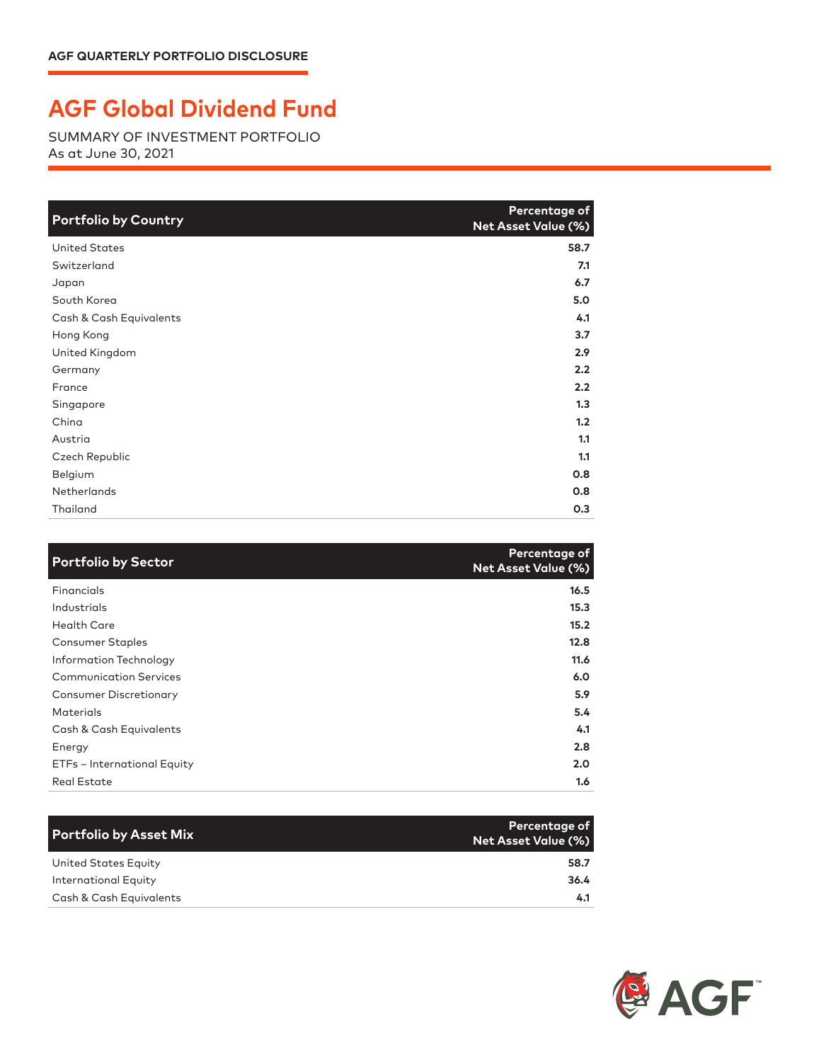## **AGF Global Dividend Fund**

SUMMARY OF INVESTMENT PORTFOLIO As at June 30, 2021

| <b>Portfolio by Country</b> | Percentage of<br>Net Asset Value (%) |
|-----------------------------|--------------------------------------|
| <b>United States</b>        | 58.7                                 |
| Switzerland                 | 7.1                                  |
| Japan                       | 6.7                                  |
| South Korea                 | 5.0                                  |
| Cash & Cash Equivalents     | 4.1                                  |
| Hong Kong                   | 3.7                                  |
| United Kingdom              | 2.9                                  |
| Germany                     | 2.2                                  |
| France                      | 2.2                                  |
| Singapore                   | 1.3                                  |
| China                       | 1.2                                  |
| Austria                     | 1.1                                  |
| Czech Republic              | 1.1                                  |
| Belgium                     | 0.8                                  |
| <b>Netherlands</b>          | 0.8                                  |
| Thailand                    | 0.3                                  |

| <b>Portfolio by Sector</b>    | Percentage of<br><b>Net Asset Value (%)</b> |
|-------------------------------|---------------------------------------------|
| Financials                    | 16.5                                        |
| Industrials                   | 15.3                                        |
| Health Care                   | 15.2                                        |
| <b>Consumer Staples</b>       | 12.8                                        |
| Information Technology        | 11.6                                        |
| <b>Communication Services</b> | 6.0                                         |
| <b>Consumer Discretionary</b> | 5.9                                         |
| <b>Materials</b>              | 5.4                                         |
| Cash & Cash Equivalents       | 4.1                                         |
| Energy                        | 2.8                                         |
| ETFs - International Equity   | 2.0                                         |
| <b>Real Estate</b>            | 1.6                                         |

| Portfolio by Asset Mix  | Percentage of<br><b>Net Asset Value (%)</b> |
|-------------------------|---------------------------------------------|
| United States Equity    | 58.7                                        |
| International Equity    | 36.4                                        |
| Cash & Cash Equivalents | 4.1                                         |